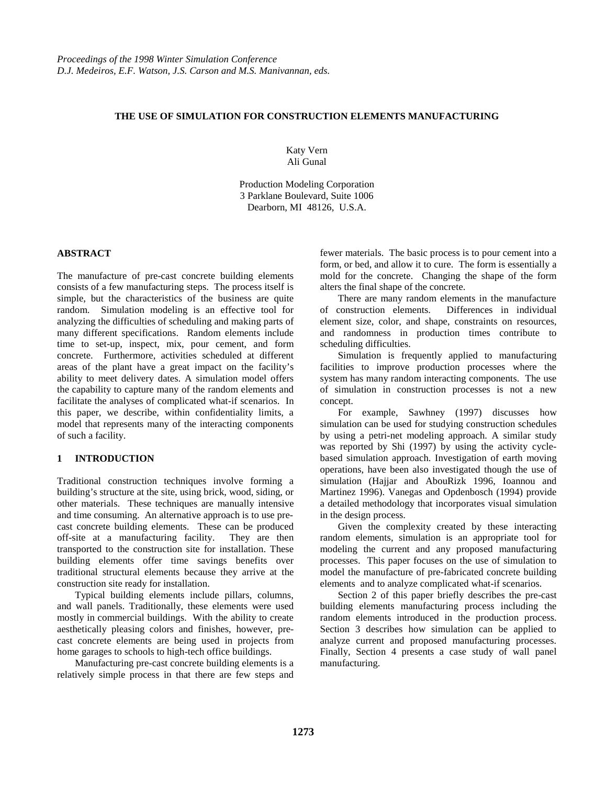# **THE USE OF SIMULATION FOR CONSTRUCTION ELEMENTS MANUFACTURING**

Katy Vern Ali Gunal

Production Modeling Corporation 3 Parklane Boulevard, Suite 1006 Dearborn, MI 48126, U.S.A.

# **ABSTRACT**

The manufacture of pre-cast concrete building elements consists of a few manufacturing steps. The process itself is simple, but the characteristics of the business are quite random. Simulation modeling is an effective tool for analyzing the difficulties of scheduling and making parts of many different specifications. Random elements include time to set-up, inspect, mix, pour cement, and form concrete. Furthermore, activities scheduled at different areas of the plant have a great impact on the facility's ability to meet delivery dates. A simulation model offers the capability to capture many of the random elements and facilitate the analyses of complicated what-if scenarios. In this paper, we describe, within confidentiality limits, a model that represents many of the interacting components of such a facility.

## **1 INTRODUCTION**

Traditional construction techniques involve forming a building's structure at the site, using brick, wood, siding, or other materials. These techniques are manually intensive and time consuming. An alternative approach is to use precast concrete building elements. These can be produced off-site at a manufacturing facility. They are then transported to the construction site for installation. These building elements offer time savings benefits over traditional structural elements because they arrive at the construction site ready for installation.

Typical building elements include pillars, columns, and wall panels. Traditionally, these elements were used mostly in commercial buildings. With the ability to create aesthetically pleasing colors and finishes, however, precast concrete elements are being used in projects from home garages to schools to high-tech office buildings.

Manufacturing pre-cast concrete building elements is a relatively simple process in that there are few steps and fewer materials. The basic process is to pour cement into a form, or bed, and allow it to cure. The form is essentially a mold for the concrete. Changing the shape of the form alters the final shape of the concrete.

There are many random elements in the manufacture of construction elements. Differences in individual element size, color, and shape, constraints on resources, and randomness in production times contribute to scheduling difficulties.

Simulation is frequently applied to manufacturing facilities to improve production processes where the system has many random interacting components. The use of simulation in construction processes is not a new concept.

For example, Sawhney (1997) discusses how simulation can be used for studying construction schedules by using a petri-net modeling approach. A similar study was reported by Shi (1997) by using the activity cyclebased simulation approach. Investigation of earth moving operations, have been also investigated though the use of simulation (Hajjar and AbouRizk 1996, Ioannou and Martinez 1996). Vanegas and Opdenbosch (1994) provide a detailed methodology that incorporates visual simulation in the design process.

Given the complexity created by these interacting random elements, simulation is an appropriate tool for modeling the current and any proposed manufacturing processes. This paper focuses on the use of simulation to model the manufacture of pre-fabricated concrete building elements and to analyze complicated what-if scenarios.

Section 2 of this paper briefly describes the pre-cast building elements manufacturing process including the random elements introduced in the production process. Section 3 describes how simulation can be applied to analyze current and proposed manufacturing processes. Finally, Section 4 presents a case study of wall panel manufacturing.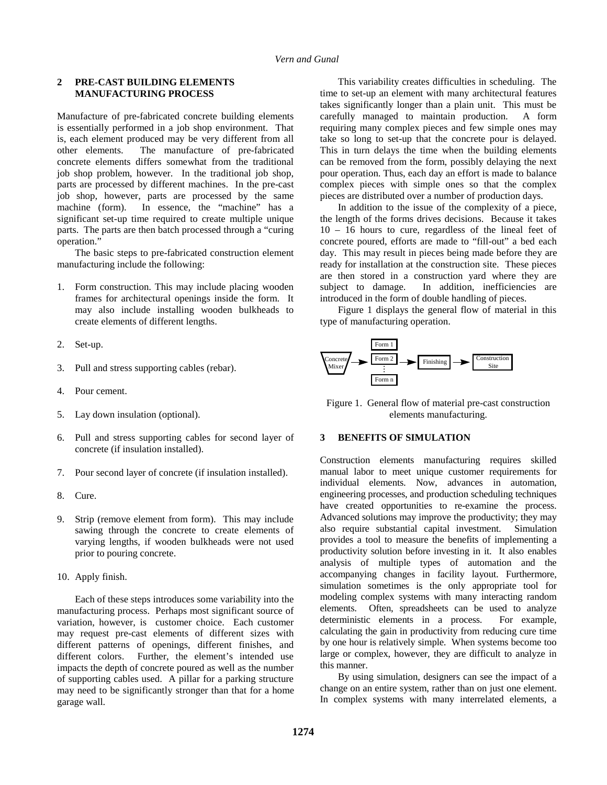### **2 PRE-CAST BUILDING ELEMENTS MANUFACTURING PROCESS**

Manufacture of pre-fabricated concrete building elements is essentially performed in a job shop environment. That is, each element produced may be very different from all other elements. The manufacture of pre-fabricated concrete elements differs somewhat from the traditional job shop problem, however. In the traditional job shop, parts are processed by different machines. In the pre-cast job shop, however, parts are processed by the same machine (form). In essence, the "machine" has a significant set-up time required to create multiple unique parts. The parts are then batch processed through a "curing operation."

The basic steps to pre-fabricated construction element manufacturing include the following:

- 1. Form construction. This may include placing wooden frames for architectural openings inside the form. It may also include installing wooden bulkheads to create elements of different lengths.
- 2. Set-up.
- 3. Pull and stress supporting cables (rebar).
- 4. Pour cement.
- 5. Lay down insulation (optional).
- 6. Pull and stress supporting cables for second layer of concrete (if insulation installed).
- 7. Pour second layer of concrete (if insulation installed).
- 8. Cure.
- 9. Strip (remove element from form). This may include sawing through the concrete to create elements of varying lengths, if wooden bulkheads were not used prior to pouring concrete.
- 10. Apply finish.

Each of these steps introduces some variability into the manufacturing process. Perhaps most significant source of variation, however, is customer choice. Each customer may request pre-cast elements of different sizes with different patterns of openings, different finishes, and different colors. Further, the element's intended use impacts the depth of concrete poured as well as the number of supporting cables used. A pillar for a parking structure may need to be significantly stronger than that for a home garage wall.

This variability creates difficulties in scheduling. The time to set-up an element with many architectural features takes significantly longer than a plain unit. This must be carefully managed to maintain production. A form requiring many complex pieces and few simple ones may take so long to set-up that the concrete pour is delayed. This in turn delays the time when the building elements can be removed from the form, possibly delaying the next pour operation. Thus, each day an effort is made to balance complex pieces with simple ones so that the complex pieces are distributed over a number of production days.

In addition to the issue of the complexity of a piece, the length of the forms drives decisions. Because it takes 10 – 16 hours to cure, regardless of the lineal feet of concrete poured, efforts are made to "fill-out" a bed each day. This may result in pieces being made before they are ready for installation at the construction site. These pieces are then stored in a construction yard where they are subject to damage. In addition, inefficiencies are introduced in the form of double handling of pieces.

Figure 1 displays the general flow of material in this type of manufacturing operation.



Figure 1. General flow of material pre-cast construction elements manufacturing.

# **3 BENEFITS OF SIMULATION**

Construction elements manufacturing requires skilled manual labor to meet unique customer requirements for individual elements. Now, advances in automation, engineering processes, and production scheduling techniques have created opportunities to re-examine the process. Advanced solutions may improve the productivity; they may also require substantial capital investment. Simulation provides a tool to measure the benefits of implementing a productivity solution before investing in it. It also enables analysis of multiple types of automation and the accompanying changes in facility layout. Furthermore, simulation sometimes is the only appropriate tool for modeling complex systems with many interacting random elements. Often, spreadsheets can be used to analyze deterministic elements in a process. For example, calculating the gain in productivity from reducing cure time by one hour is relatively simple. When systems become too large or complex, however, they are difficult to analyze in this manner.

By using simulation, designers can see the impact of a change on an entire system, rather than on just one element. In complex systems with many interrelated elements, a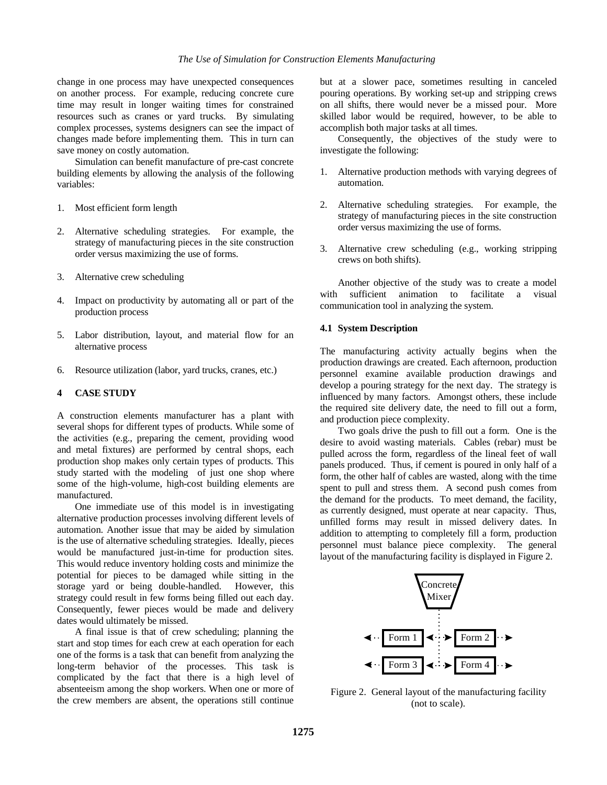change in one process may have unexpected consequences on another process. For example, reducing concrete cure time may result in longer waiting times for constrained resources such as cranes or yard trucks. By simulating complex processes, systems designers can see the impact of changes made before implementing them. This in turn can save money on costly automation.

Simulation can benefit manufacture of pre-cast concrete building elements by allowing the analysis of the following variables:

- 1. Most efficient form length
- 2. Alternative scheduling strategies. For example, the strategy of manufacturing pieces in the site construction order versus maximizing the use of forms.
- 3. Alternative crew scheduling
- 4. Impact on productivity by automating all or part of the production process
- 5. Labor distribution, layout, and material flow for an alternative process
- 6. Resource utilization (labor, yard trucks, cranes, etc.)

# **4 CASE STUDY**

A construction elements manufacturer has a plant with several shops for different types of products. While some of the activities (e.g., preparing the cement, providing wood and metal fixtures) are performed by central shops, each production shop makes only certain types of products. This study started with the modeling of just one shop where some of the high-volume, high-cost building elements are manufactured.

One immediate use of this model is in investigating alternative production processes involving different levels of automation. Another issue that may be aided by simulation is the use of alternative scheduling strategies. Ideally, pieces would be manufactured just-in-time for production sites. This would reduce inventory holding costs and minimize the potential for pieces to be damaged while sitting in the storage yard or being double-handled. However, this strategy could result in few forms being filled out each day. Consequently, fewer pieces would be made and delivery dates would ultimately be missed.

A final issue is that of crew scheduling; planning the start and stop times for each crew at each operation for each one of the forms is a task that can benefit from analyzing the long-term behavior of the processes. This task is complicated by the fact that there is a high level of absenteeism among the shop workers. When one or more of the crew members are absent, the operations still continue

but at a slower pace, sometimes resulting in canceled pouring operations. By working set-up and stripping crews on all shifts, there would never be a missed pour. More skilled labor would be required, however, to be able to accomplish both major tasks at all times.

Consequently, the objectives of the study were to investigate the following:

- 1. Alternative production methods with varying degrees of automation.
- 2. Alternative scheduling strategies. For example, the strategy of manufacturing pieces in the site construction order versus maximizing the use of forms.
- 3. Alternative crew scheduling (e.g., working stripping crews on both shifts).

Another objective of the study was to create a model with sufficient animation to facilitate a visual communication tool in analyzing the system.

#### **4.1 System Description**

The manufacturing activity actually begins when the production drawings are created. Each afternoon, production personnel examine available production drawings and develop a pouring strategy for the next day. The strategy is influenced by many factors. Amongst others, these include the required site delivery date, the need to fill out a form, and production piece complexity.

Two goals drive the push to fill out a form. One is the desire to avoid wasting materials. Cables (rebar) must be pulled across the form, regardless of the lineal feet of wall panels produced. Thus, if cement is poured in only half of a form, the other half of cables are wasted, along with the time spent to pull and stress them. A second push comes from the demand for the products. To meet demand, the facility, as currently designed, must operate at near capacity. Thus, unfilled forms may result in missed delivery dates. In addition to attempting to completely fill a form, production personnel must balance piece complexity. The general layout of the manufacturing facility is displayed in Figure 2.



Figure 2. General layout of the manufacturing facility (not to scale).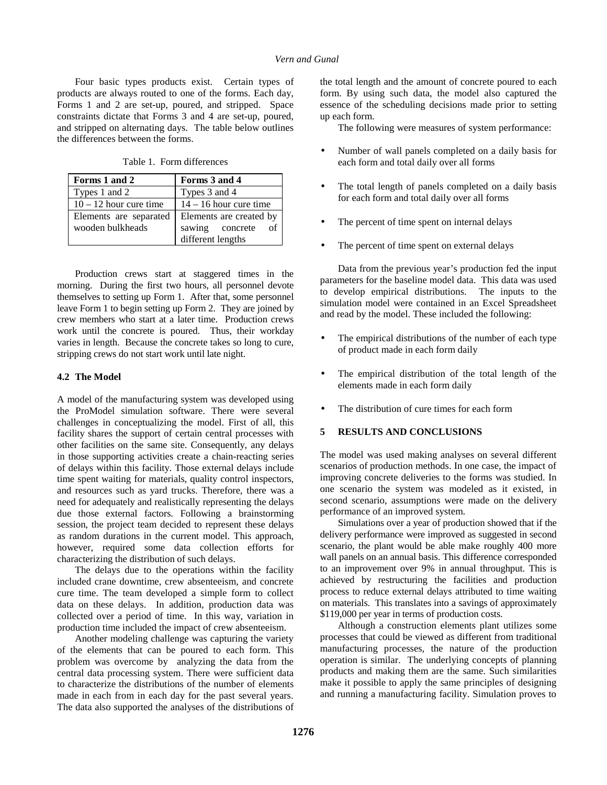Four basic types products exist. Certain types of products are always routed to one of the forms. Each day, Forms 1 and 2 are set-up, poured, and stripped. Space constraints dictate that Forms 3 and 4 are set-up, poured, and stripped on alternating days. The table below outlines the differences between the forms.

Table 1. Form differences

| Forms 1 and 2            | Forms 3 and 4            |
|--------------------------|--------------------------|
| Types 1 and 2            | Types 3 and 4            |
| $10 - 12$ hour cure time | $14 - 16$ hour cure time |
| Elements are separated   | Elements are created by  |
| wooden bulkheads         | sawing concrete          |
|                          | different lengths        |

Production crews start at staggered times in the morning. During the first two hours, all personnel devote themselves to setting up Form 1. After that, some personnel leave Form 1 to begin setting up Form 2. They are joined by crew members who start at a later time. Production crews work until the concrete is poured. Thus, their workday varies in length. Because the concrete takes so long to cure, stripping crews do not start work until late night.

#### **4.2 The Model**

A model of the manufacturing system was developed using the ProModel simulation software. There were several challenges in conceptualizing the model. First of all, this facility shares the support of certain central processes with other facilities on the same site. Consequently, any delays in those supporting activities create a chain-reacting series of delays within this facility. Those external delays include time spent waiting for materials, quality control inspectors, and resources such as yard trucks. Therefore, there was a need for adequately and realistically representing the delays due those external factors. Following a brainstorming session, the project team decided to represent these delays as random durations in the current model. This approach, however, required some data collection efforts for characterizing the distribution of such delays.

The delays due to the operations within the facility included crane downtime, crew absenteeism, and concrete cure time. The team developed a simple form to collect data on these delays. In addition, production data was collected over a period of time. In this way, variation in production time included the impact of crew absenteeism.

Another modeling challenge was capturing the variety of the elements that can be poured to each form. This problem was overcome by analyzing the data from the central data processing system. There were sufficient data to characterize the distributions of the number of elements made in each from in each day for the past several years. The data also supported the analyses of the distributions of the total length and the amount of concrete poured to each form. By using such data, the model also captured the essence of the scheduling decisions made prior to setting up each form.

The following were measures of system performance:

- Number of wall panels completed on a daily basis for each form and total daily over all forms
- The total length of panels completed on a daily basis for each form and total daily over all forms
- The percent of time spent on internal delays
- The percent of time spent on external delays

Data from the previous year's production fed the input parameters for the baseline model data. This data was used to develop empirical distributions. The inputs to the simulation model were contained in an Excel Spreadsheet and read by the model. These included the following:

- The empirical distributions of the number of each type of product made in each form daily
- The empirical distribution of the total length of the elements made in each form daily
- The distribution of cure times for each form

# **5 RESULTS AND CONCLUSIONS**

The model was used making analyses on several different scenarios of production methods. In one case, the impact of improving concrete deliveries to the forms was studied. In one scenario the system was modeled as it existed, in second scenario, assumptions were made on the delivery performance of an improved system.

Simulations over a year of production showed that if the delivery performance were improved as suggested in second scenario, the plant would be able make roughly 400 more wall panels on an annual basis. This difference corresponded to an improvement over 9% in annual throughput. This is achieved by restructuring the facilities and production process to reduce external delays attributed to time waiting on materials. This translates into a savings of approximately \$119,000 per year in terms of production costs.

Although a construction elements plant utilizes some processes that could be viewed as different from traditional manufacturing processes, the nature of the production operation is similar. The underlying concepts of planning products and making them are the same. Such similarities make it possible to apply the same principles of designing and running a manufacturing facility. Simulation proves to